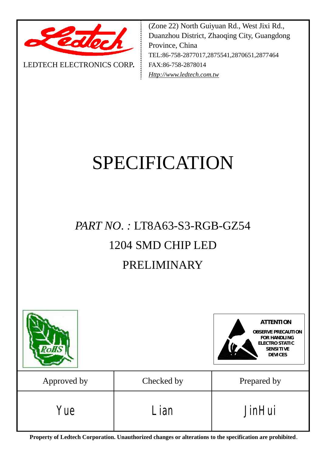

LEDTECH ELECTRONICS CORP**.**

(Zone 22) North Guiyuan Rd., West Jixi Rd., Duanzhou District, Zhaoqing City, Guangdong Province, China TEL:86-758-2877017,2875541,2870651,2877464 FAX:86-758-2878014 *[Http://www.ledtech.com.tw](http://www.ledtech.com.tw)*

# SPECIFICATION

## *PART NO. :* LT8A63-S3-RGB-GZ54 1204 SMD CHIP LED PRELIMINARY



**Property of Ledtech Corporation. Unauthorized changes or alterations to the specification are prohibited***.*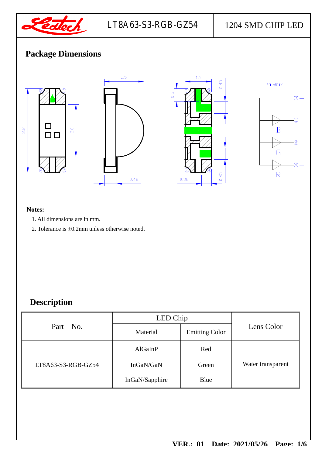

## **Package Dimensions**



#### **Notes:**

- 1. All dimensions are in mm.
- 2. Tolerance is ±0.2mm unless otherwise noted.

## **Description**

| Part No.           | LED Chip       |                       |                   |
|--------------------|----------------|-----------------------|-------------------|
|                    | Material       | <b>Emitting Color</b> | Lens Color        |
| LT8A63-S3-RGB-GZ54 | AlGaInP        | Red                   |                   |
|                    | InGaN/GaN      | Green                 | Water transparent |
|                    | InGaN/Sapphire | Blue                  |                   |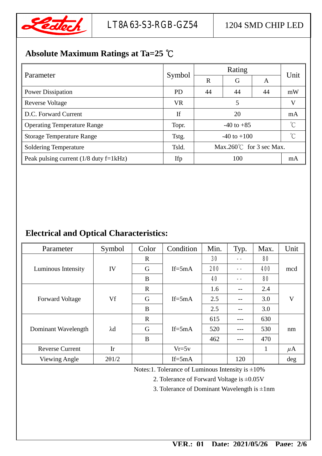

## **Absolute Maximum Ratings at Ta=25 ℃**

| Parameter                                | Symbol    |                                  |    |    |      |
|------------------------------------------|-----------|----------------------------------|----|----|------|
|                                          |           | $\mathbf R$                      | G  | A  | Unit |
| <b>Power Dissipation</b>                 | <b>PD</b> | 44                               | 44 | 44 | mW   |
| <b>Reverse Voltage</b>                   | <b>VR</b> | 5                                |    |    | V    |
| D.C. Forward Current                     | If        | 20                               |    |    | mA   |
| <b>Operating Temperature Range</b>       | Topr.     | $-40$ to $+85$                   |    |    | °C   |
| <b>Storage Temperature Range</b>         | Tstg.     | $-40$ to $+100$                  |    |    | °C   |
| <b>Soldering Temperature</b>             | Tsld.     | $Max.260^{\circ}$ for 3 sec Max. |    |    |      |
| Peak pulsing current $(1/8$ duty f=1kHz) | Ifp       | 100                              |    |    | mA   |

### **Electrical and Optical Characteristics:**

| Parameter              | Symbol      | Color        | Condition  | Min. | Typ. | Max. | Unit         |
|------------------------|-------------|--------------|------------|------|------|------|--------------|
| Luminous Intensity     | IV          | $\mathbf R$  | If= $5mA$  | 30   | --   | 80   | mcd          |
|                        |             | G            |            | 200  |      | 400  |              |
|                        |             | B            |            | 40   |      | 80   |              |
| <b>Forward Voltage</b> | Vf          | $\mathbf{R}$ | $If = 5mA$ | 1.6  |      | 2.4  | $\mathbf{V}$ |
|                        |             | G            |            | 2.5  |      | 3.0  |              |
|                        |             | B            |            | 2.5  |      | 3.0  |              |
| Dominant Wavelength    | $\lambda$ d | $\mathbf R$  | $If = 5mA$ | 615  |      | 630  | nm           |
|                        |             | G            |            | 520  |      | 530  |              |
|                        |             | B            |            | 462  |      | 470  |              |
| <b>Reverse Current</b> | Ir          |              | $Vr=5v$    |      |      | 1    | $\mu$ A      |
| Viewing Angle          | 201/2       |              | $If = 5mA$ |      | 120  |      | $\deg$       |

Notes:1. Tolerance of Luminous Intensity is ±10%

2. Tolerance of Forward Voltage is ±0.05V

3. Tolerance of Dominant Wavelength is  $\pm 1$ nm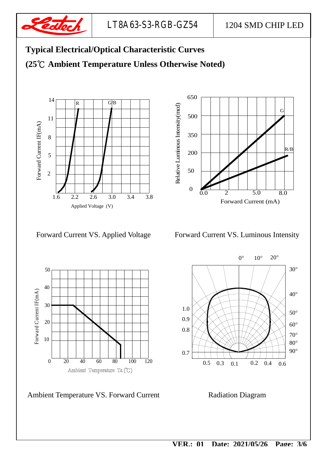



Ambient Temperature VS. Forward Current Radiation Diagram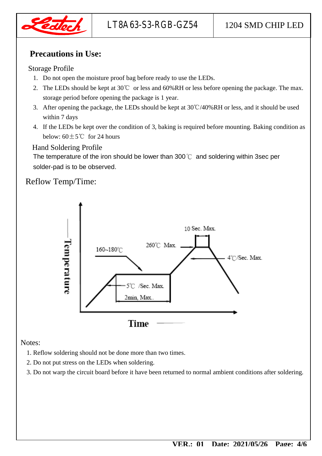

#### **Precautions in Use:**

#### Storage Profile

- 1. Do not open the moisture proof bag before ready to use the LEDs.
- 2. The LEDs should be kept at 30℃ or less and 60%RH or less before opening the package. The max. storage period before opening the package is 1 year.
- 3. After opening the package, the LEDs should be kept at 30℃/40%RH or less, and it should be used within 7 days
- 4. If the LEDs be kept over the condition of 3, baking is required before mounting. Baking condition as below:  $60 \pm 5^{\circ}$  for 24 hours

#### Hand Soldering Profile

The temperature of the iron should be lower than 300℃ and soldering within 3sec per solder-pad is to be observed.

#### Reflow Temp/Time:



Notes:

- 1. Reflow soldering should not be done more than two times.
- 2. Do not put stress on the LEDs when soldering.
- 3. Do not warp the circuit board before it have been returned to normal ambient conditions after soldering.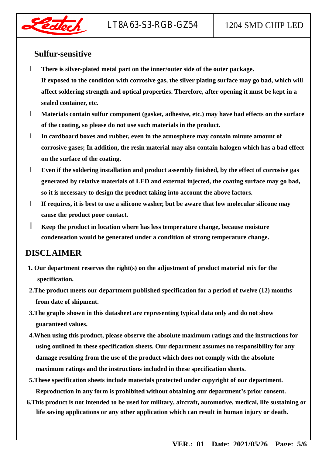

#### **Sulfur-sensitive**

- l **There is silver-plated metal part on the inner/outer side of the outer package. If exposed to the condition with corrosive gas, the silver plating surface may go bad, which will affect soldering strength and optical properties. Therefore, after opening it must be kept in a sealed container, etc.**
- l **Materials contain sulfur component (gasket, adhesive, etc.) may have bad effects on the surface of the coating, so please do not use such materials in the product.**
- l **In cardboard boxes and rubber, even in the atmosphere may contain minute amount of corrosive gases; In addition, the resin material may also contain halogen which has a bad effect on the surface of the coating.**
- l **Even if the soldering installation and product assembly finished, by the effect of corrosive gas generated by relative materials of LED and external injected, the coating surface may go bad, so it is necessary to design the product taking into account the above factors.**
- l **If requires, it is best to use a silicone washer, but be aware that low molecular silicone may cause the product poor contact.**
- l **Keep the product in location where has less temperature change, because moisture condensation would be generated under a condition of strong temperature change.**

#### **DISCLAIMER**

- **1. Our department reserves the right(s) on the adjustment of product material mix for the specification.**
- **2.The product meets our department published specification for a period of twelve (12) months from date of shipment.**
- **3.The graphs shown in this datasheet are representing typical data only and do not show guaranteed values.**
- **4.When using this product, please observe the absolute maximum ratings and the instructions for using outlined in these specification sheets. Our department assumes no responsibility for any damage resulting from the use of the product which does not comply with the absolute maximum ratings and the instructions included in these specification sheets.**
- **5.These specification sheets include materials protected under copyright of our department. Reproduction in any form is prohibited without obtaining our department's prior consent.**
- **6.This product is not intended to be used for military, aircraft, automotive, medical, life sustaining or life saving applications or any other application which can result in human injury or death.**